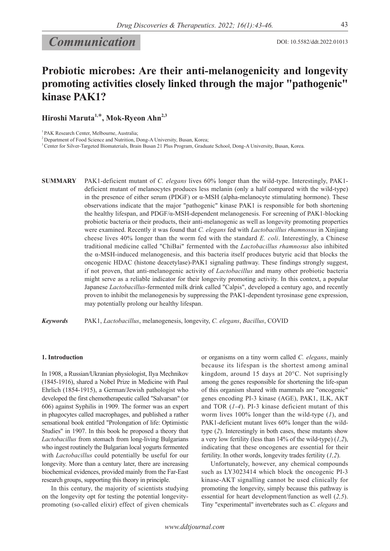# *Communication*

## **Probiotic microbes: Are their anti-melanogenicity and longevity promoting activities closely linked through the major "pathogenic" kinase PAK1?**

**Hiroshi Maruta1,**\***, Mok-Ryeon Ahn2,3**

<sup>1</sup> PAK Research Center, Melbourne, Australia;

<sup>2</sup> Department of Food Science and Nutrition, Dong-A University, Busan, Korea;

3 Center for Silver-Targeted Biomaterials, Brain Busan 21 Plus Program, Graduate School, Dong-A University, Busan, Korea.

**SUMMARY** PAK1-deficient mutant of *C. elegans* lives 60% longer than the wild-type. Interestingly, PAK1 deficient mutant of melanocytes produces less melanin (only a half compared with the wild-type) in the presence of either serum (PDGF) or α-MSH (alpha-melanocyte stimulating hormone). These observations indicate that the major "pathogenic" kinase PAK1 is responsible for both shortening the healthy lifespan, and PDGF/α-MSH-dependent melanogenesis. For screening of PAK1-blocking probiotic bacteria or their products, their anti-melanogenic as well as longevity promoting properties were examined. Recently it was found that *C. elegans* fed with *Lactobacillus rhamnosus* in Xinjiang cheese lives 40% longer than the worm fed with the standard *E. coli*. Interestingly, a Chinese traditional medicine called "ChiBai" fermented with the *Lactobacillus rhamnosus* also inhibited the α-MSH-induced melanogenesis, and this bacteria itself produces butyric acid that blocks the oncogenic HDAC (histone deacetylase)-PAK1 signaling pathway. These findings strongly suggest, if not proven, that anti-melanogenic activity of *Lactobacillus* and many other probiotic bacteria might serve as a reliable indicator for their longevity promoting activity. In this context, a popular Japanese *Lactobacillus*-fermented milk drink called "Calpis", developed a century ago, and recently proven to inhibit the melanogenesis by suppressing the PAK1-dependent tyrosinase gene expression, may potentially prolong our healthy lifespan.

*Keywords* PAK1, *Lactobacillus*, melanogenesis, longevity, *C. elegans*, *Bacillus*, COVID

#### **1. Introduction**

In 1908, a Russian/Ukranian physiologist, Ilya Mechnikov (1845-1916), shared a Nobel Prize in Medicine with Paul Ehrlich (1854-1915), a German/Jewish pathologist who developed the first chemotherapeutic called "Salvarsan" (or 606) against Syphilis in 1909. The former was an expert in phagocytes called macrophages, and published a rather sensational book entitled "Prolongation of life: Optimistic Studies" in 1907. In this book he proposed a theory that *Lactobacillus* from stomach from long-living Bulgarians who ingest routinely the Bulgarian local yogurts fermented with *Lactobacillus* could potentially be useful for our longevity. More than a century later, there are increasing biochemical evidences, provided mainly from the Far-East research groups, supporting this theory in principle.

In this century, the majority of scientists studying on the longevity opt for testing the potential longevitypromoting (so-called elixir) effect of given chemicals or organisms on a tiny worm called *C. elegans*, mainly because its lifespan is the shortest among aminal kingdom, around 15 days at 20°C. Not suprisingly among the genes responsible for shortening the life-span of this organism shared with mammals are "oncogenic" genes encoding PI-3 kinase (AGE), PAK1, ILK, AKT and TOR (*1-4*). PI-3 kinase deficient mutant of this worm lives 100% longer than the wild-type (*1*), and PAK1-deficient mutant lives 60% longer than the wildtype (*2*). Interestingly in both cases, these mutants show a very low fertility (less than 14% of the wild-type) (*1,2*), indicating that these oncogenes are essential for their fertility. In other words, longevity trades fertility (*1,2*).

Unfortunately, however, any chemical compounds such as LY3023414 which block the oncogenic PI-3 kinase-AKT signalling cannot be used clinically for promoting the longevity, simply because this pathway is essential for heart development/function as well (*2,5*). Tiny "experimental" invertebrates such as *C. elegans* and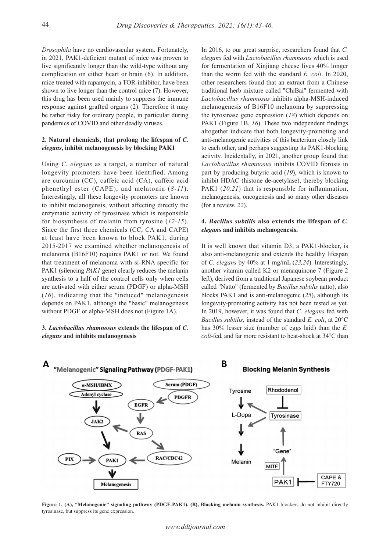*Drosophila* have no cardiovascular system. Fortunately, in 2021, PAK1-deficient mutant of mice was proven to live significantly longer than the wild-type without any complication on either heart or brain (6). In addition, mice treated with rapamycin, a TOR-inhibitor, have been shown to live longer than the control mice (7). However, this drug has been used mainly to suppress the immune response against grafted organs (2). Therefore it may be rather risky for ordinary people, in particular during pandemics of COVID and other deadly viruses.

### **2. Natural chemicals, that prolong the lifespan of** *C. elegans***, inhibit melanogenesis by blocking PAK1**

Using *C. elegans* as a target, a number of natural longevity promoters have been identified. Among are curcumin (CC), caffeic acid (CA), caffeic acid phenethyl ester (CAPE), and melatonin (*8-11*). Interestingly, all these longevity promoters are known to inhibit melanogensis, without affecting directly the enzymatic activity of tyrosinase which is responsible for biosynthesis of melanin from tyrosine (*12-15*). Since the first three chemicals (CC, CA and CAPE) at least have been known to block PAK1, during 2015-2017 we examined whether melanogenesis of melanoma (B16F10) requires PAK1 or not. We found that treatment of melanoma with si-RNA specific for PAK1 (silencing *PAK1* gene) clearly reduces the melanin synthesis to a half of the control cells only when cells are activated with either serum (PDGF) or alpha-MSH (*16*), indicating that the "induced" melanogenesis depends on PAK1, although the "basic" melanogenesis without PDGF or alpha-MSH does not (Figure 1A).

#### **3.** *Lactobacillus rhamnosus* **extends the lifespan of** *C. elegans* **and inhibits melanogenesis**

In 2016, to our great surprise, researchers found that *C. elegans* fed with *Lactobacillus rhamnosus* which is used for fermentation of Xinjiang cheese lives 40% longer than the worm fed with the standard *E. coli*. In 2020, other researchers found that an extract from a Chinese traditional herb mixture called "ChiBai" fermented with *Lactobacillus rhamnosus* inhibits alpha-MSH-induced melanogenesis of B16F10 melanoma by suppressing the tyrosinase gene expression (*18*) which depends on PAK1 (Figure 1B, *16*). These two independent findings altogether indicate that both longevity-promoting and anti-melanogenic activities of this bacterium closely link to each other, and perhaps suggesting its PAK1-blocking activity. Incidentally, in 2021, another group found that *Lactobacillus rhamnosus* inhibits COVID fibrosis in part by producing butyric acid (*19*), which is known to inhibit HDAC (histone de-acetylase), thereby blocking PAK1 (20,21) that is responsible for inflammation, melanogenesis, oncogenesis and so many other diseases (for a review. *22*).

## **4.** *Bacillus subtilis* **also extends the lifespan of** *C. elegans* **and inhibits melanogenesis.**

It is well known that vitamin D3, a PAK1-blocker, is also anti-melanogenic and extends the healthy lifespan of *C. elegans* by 40% at 1 mg/mL (*23,24*). Interestingly, another vitamin called K2 or menaquinone 7 (Figure 2 left), derived from a traditional Japanese soybean product called "Natto" (fermented by *Bacillus subtilis* natto), also blocks PAK1 and is anti-melanogenic (*25*), although its longevity-promoting activity has not been tested as yet. In 2019, however, it was found that *C. elegans* fed with *Bacillus subtilis*, instead of the standard *E. coli*, at 20°C has 30% lesser size (number of eggs laid) than the *E. coli*-fed, and far more resistant to heat-shock at 34°C than



**Figure 1. (A), "Melanogenic" signaling pathway (PDGF-PAK1). (B), Blocking melanin synthesis.** PAK1-blockers do not inhibit directly tyrosinase, but suppress its gene expression.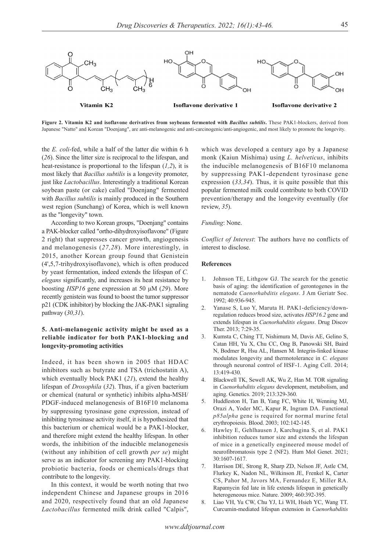

**Figure 2. Vitamin K2 and isoflavone derivatives from soybeans fermented with** *Bacillus subtilis***.** These PAK1-blockers, derived from Japanese "Natto" and Korean "Doenjang", are anti-melanogenic and anti-carcinogenic/anti-angiogenic, and most likely to promote the longevity.

the *E. coli*-fed, while a half of the latter die within 6 h (*26*). Since the litter size is reciprocal to the lifespan, and heat-resistance is proportional to the lifespan (*1,2*), it is most likely that *Bacillus subtilis* is a longevity promoter, just like *Lactobacillus*. Interestingly a traditional Korean soybean paste (or cake) called "Doenjang" fermented with *Bacillus subtilis* is mainly produced in the Southern west region (Sunchang) of Korea, which is well known as the "longevity" town.

According to two Korean groups, "Doenjang" contains a PAK-blocker called "ortho-dihydroxyisoflavone" (Figure 2 right) that suppresses cancer growth, angiogenesis and melanogenesis (*27,28*). More interestingly, in 2015, another Korean group found that Genistein (4',5,7-trihydroxyisoflavone), which is often produced by yeast fermentation, indeed extends the lifespan of *C. elegans* significantly, and increases its heat resistance by boosting *HSP16* gene expression at 50 μM (*29*). More recently genistein was found to boost the tumor suppressor p21 (CDK inhibitor) by blocking the JAK-PAK1 signaling pathway (*30,31*).

## **5. Anti-melanogenic activity might be used as a reliable indicator for both PAK1-blocking and longevity-promoting activities**

Indeed, it has been shown in 2005 that HDAC inhibitors such as butyrate and TSA (trichostatin A), which eventually block PAK1 (*21*), extend the healthy lifespan of *Drosophila* (*32*). Thus, if a given bacterium or chemical (natural or synthetic) inhibits alpha-MSH/ PDGF-induced melanogenesis of B16F10 melanoma by suppressing tyrosinase gene expression, instead of inhibiting tyrosinase activity itself, it is hypothesized that this bacterium or chemical would be a PAK1-blocker, and therefore might extend the healthy lifespan. In other words, the inhibition of the inducible melanogenesis (without any inhibition of cell growth *per se*) might serve as an indicator for screening any PAK1-blocking probiotic bacteria, foods or chemicals/drugs that contribute to the longevity.

In this context, it would be worth noting that two independent Chinese and Japanese groups in 2016 and 2020, respectively found that an old Japanese *Lactobacillus* fermented milk drink called "Calpis", which was developed a century ago by a Japanese monk (Kaiun Mishima) using *L. helveticus*, inhibits the inducible melanogenesis of B16F10 melanoma by suppressing PAK1-dependent tyrosinase gene expression (*33,34*). Thus, it is quite possible that this popular fermented milk could contribute to both COVID prevention/therapy and the longevity eventually (for review, *35*).

#### *Funding*: None.

*Conflict of Interest*: The authors have no conflicts of interest to disclose.

## **References**

- 1. Johnson TE, Lithgow GJ. The search for the genetic basis of aging: the identification of gerontogenes in the nematode *Caenorhabditis elegans*. J Am Geriatr Soc. 1992; 40:936-945.
- 2. Yanase S, Luo Y, Maruta H. PAK1-deficiency/downregulation reduces brood size, activates *HSP16.2* gene and extends lifespan in *Caenorhabditis elegans*. Drug Discov Ther. 2013; 7:29-35.
- 3. Kumsta C, Ching TT, Nishimura M, Davis AE, Gelino S, Catan HH, Yu X, Chu CC, Ong B, Panowski SH, Baird N, Bodmer R, Hsu AL, Hansen M. Integrin-linked kinase modulates longevity and thermotolerance in *C. elegans* through neuronal control of HSF-1. Aging Cell. 2014; 13:419-430.
- 4. Blackwell TK, Sewell AK, Wu Z, Han M. TOR signaling in *Caenorhabditis elegans* development, metabolism, and aging. Genetics. 2019; 213:329-360.
- 5. Huddleston H, Tan B, Yang FC, White H, Wenning MJ, Orazi A, Yoder MC, Kapur R, Ingram DA. Functional *p85alpha* gene is required for normal murine fetal erythropoiesis. Blood. 2003; 102:142-145.
- 6. Hawley E, Gehlhausen J, Karchugina S, et al. PAK1 inhibition reduces tumor size and extends the lifespan of mice in a genetically engineered mouse model of neurofibromatosis type 2 (NF2). Hum Mol Genet. 2021; 30:1607-1617.
- Harrison DE, Strong R, Sharp ZD, Nelson JF, Astle CM, Flurkey K, Nadon NL, Wilkinson JE, Frenkel K, Carter CS, Pahor M, Javors MA, Fernandez E, Miller RA. Rapamycin fed late in life extends lifespan in genetically heterogeneous mice. Nature. 2009; 460:392-395.
- 8. Liao VH, Yu CW, Chu YJ, Li WH, Hsieh YC, Wang TT. Curcumin-mediated lifespan extension in *Caenorhabditis*